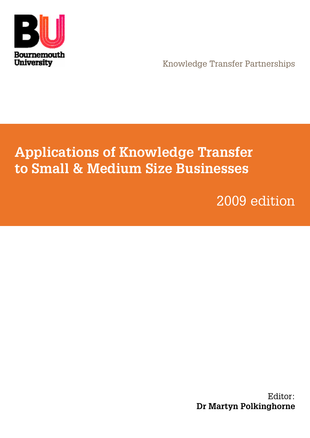

Knowledge Transfer Partnerships

# **Applications of Knowledge Transfer to Small & Medium Size Businesses**

2009 edition

Editor: **Dr Martyn Polkinghorne**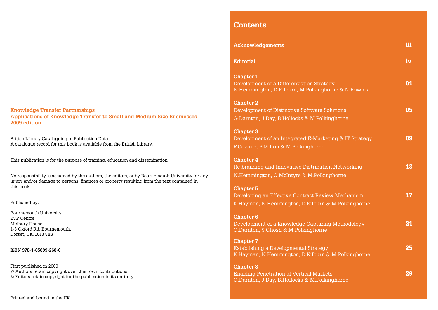# **Knowledge Transfer Partnerships Applications of Knowledge Transfer to Small and Medium Size Businesses 2009 edition**

British Library Cataloguing in Publication Data. A catalogue record for this book is available from the British Library.

This publication is for the purpose of training, education and dissemination.

No responsibility is assumed by the authors, the editors, or by Bournemouth University for any injury and/or damage to persons, finances or property resulting from the text contained in this book.

Published by:

Bournemouth University KTP Centre Melbury House 1-3 Oxford Rd, Bournemouth, Dorset, UK, BH8 8ES

**ISBN 978-1-85899-268-6**

First published in 2009 © Authors retain copyright over their own contributions © Editors retain copyright for the publication in its entirety

# **Contents**

| <b>Acknowledgements</b>                                                                     | iii |
|---------------------------------------------------------------------------------------------|-----|
| <b>Editorial</b>                                                                            | iv. |
| <b>Chapter 1</b><br>Development of a Differentiation Strategy                               | 01  |
| N.Hemmington, D.Kilburn, M.Polkinghorne & N.Rowles                                          |     |
| <b>Chapter 2</b>                                                                            |     |
| Development of Distinctive Software Solutions                                               | 05  |
| G.Darnton, J.Day, B.Hollocks & M.Polkinghorne                                               |     |
| <b>Chapter 3</b>                                                                            |     |
| Development of an Integrated E-Marketing & IT Strategy                                      | 09  |
| F.Cownie, P.Milton & M.Polkinghorne                                                         |     |
| <b>Chapter 4</b>                                                                            |     |
| Re-branding and Innovative Distribution Networking                                          | 13  |
| N.Hemmington, C.McIntyre & M.Polkinghorne                                                   |     |
| <b>Chapter 5</b>                                                                            |     |
| Developing an Effective Contract Review Mechanism                                           | 17  |
| K.Hayman, N.Hemmington, D.Kilburn & M.Polkinghorne                                          |     |
| <b>Chapter 6</b>                                                                            |     |
| Development of a Knowledge Capturing Methodology<br>G.Darnton, S.Ghosh & M.Polkinghorne     | 21  |
| <b>Chapter 7</b>                                                                            |     |
| Establishing a Developmental Strategy<br>K.Hayman, N.Hemmington, D.Kilburn & M.Polkinghorne | 25  |
|                                                                                             |     |

**Chapter 8** Enabling Penetration of Vertical Markets 29 G.Darnton, J.Day, B.Hollocks & M.Polkinghorne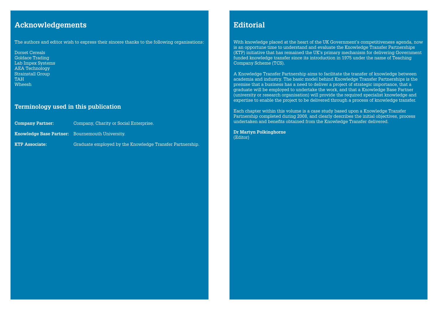# **Editorial**

With knowledge placed at the heart of the UK Government's competitiveness agenda, now is an opportune time to understand and evaluate the Knowledge Transfer Partnerships (KTP) initiative that has remained the UK's primary mechanism for delivering Government funded knowledge transfer since its introduction in 1975 under the name of Teaching Company Scheme (TCS).

A Knowledge Transfer Partnership aims to facilitate the transfer of knowledge between academia and industry. The basic model behind Knowledge Transfer Partnerships is the premise that a business has a need to deliver a project of strategic importance, that a graduate will be employed to undertake the work, and that a Knowledge Base Partner (university or research organisation) will provide the required specialist knowledge and expertise to enable the project to be delivered through a process of knowledge transfer.

Each chapter within this volume is a case study based upon a Knowledge Transfer Partnership completed during 2008, and clearly describes the initial objectives, process undertaken and benefits obtained from the Knowledge Transfer delivered.

**Dr Martyn Polkinghorne** (Editor)

# **Acknowledgements**

The authors and editor wish to express their sincere thanks to the following organisations:

Dorset Cereals Goldace Trading Lab Impex Systems AEA Technology Strainstall Group TAH Wheesh

# **Terminology used in this publication**

| <b>Company Partner:</b>                                | Company, Charity or Social Enterprise.                   |
|--------------------------------------------------------|----------------------------------------------------------|
| <b>Knowledge Base Partner:</b> Bournemouth University. |                                                          |
| <b>KTP Associate:</b>                                  | Graduate employed by the Knowledge Transfer Partnership. |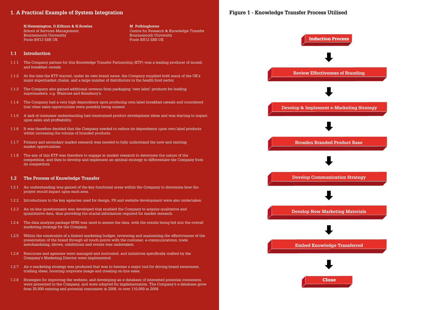# **1. A Practical Example of System Integration**

**N.Hemmington, D.Kilburn & N.Rowles M Polkinghorne** Bournemouth University Bournemouth University Poole BH12 5BB UK Poole BH12 5BB UK

School of Services Management Centre for Research & Knowledge Transfer

### **1.1 Introduction**

- 1.1.1 The Company partner for this Knowledge Transfer Partnership (KTP) was a leading producer of muesli and breakfast cereals.
- 1.1.2 At the time the KTP started, under its own brand name, the Company supplied both many of the UK's major supermarket chains, and a large number of distributors to the health food sector.
- 1.1.3 The Company also gained additional revenue from packaging 'own label' products for leading supermarkets, e.g. Waitrose and Sainsbury's.
- 1.1.4 The Company had a very high dependency upon producing own label breakfast cereals and considered that other sales opportunities were possibly being missed.
- 1.1.5 A lack of consumer understanding had constrained product development ideas and was starting to impact upon sales and profitability.
- 1.1.6 It was therefore decided that the Company needed to reduce its dependency upon own label products whilst increasing the volume of branded products.
- 1.1.7 Primary and secondary market research was needed to fully understand the new and existing market opportunities.
- 1.1.8 The aim of this KTP was therefore to engage in market research to determine the nature of the competition, and then to develop and implement an optimal strategy to differentiate the Company from its competitors.

#### **1.2 The Process of Knowledge Transfer**

- 1.2.1 An understanding was gained of the key functional areas within the Company to determine how the project would impact upon each area.
- 1.2.2 Introductions to the key agencies used for design, PR and website development were also undertaken.
- 1.2.3 An on-line questionnaire was developed that enabled the Company to acquire qualitative and quantitative data, thus providing the crucial information required for market research.
- 1.2.4 The data analysis package SPSS was used to assess the data, with the results being fed into the overall marketing strategy for the Company.
- 1.2.5 Within the constraints of a limited marketing budget, reviewing and maximising the effectiveness of the presentation of the brand through all touch points with the customer, e-communications, trade merchandising, shows, exhibitions and events was undertaken.
- 1.2.6 Resources and agencies were managed and motivated, and initiatives specifically crafted by the Company's Marketing Director were implemented.
- 1.2.7 An e-marketing strategy was produced that was to become a major tool for driving brand awareness, trialling ideas, boosting corporate image and creating on-line sales.
- 1.2.8 Strategies for improving the website, and developing an e-database of interested potential consumers, were presented to the Company, and were adopted for implementation. The Company's e-database grew from 20,000 existing and potential consumers in 2006, to over 110,000 in 2008.



**Figure 1 - Knowledge Transfer Process Utilised**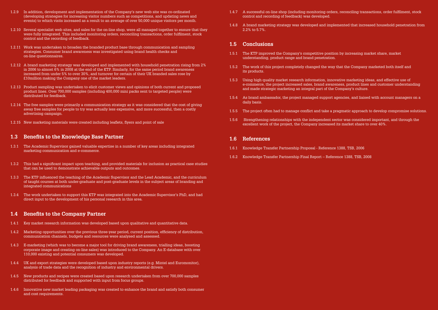- 1.2.9 In addition, development and implementation of the Company's new web site was co-ordinated (developing strategies for increasing visitor numbers such as competitions, and updating news and events) to which visits increased as a result to an average of over 50,000 unique visitors per month.
- 1.2.10 Several specialist web sites, and sales for the on-line shop, were all managed together to ensure that they were fully integrated. This included monitoring orders, reconciling transactions, order fulfilment, stock control and the recording of feedback.
- 1.2.11 Work was undertaken to broaden the branded product base through communication and sampling strategies. Consumer brand awareness was investigated using brand health checks and on-line questionnaires.
- 1.2.12 A brand marketing strategy was developed and implemented with household penetration rising from 2% in 2006 to almost 6% in 2008 at the end of the KTP. Similarly, for the same period brand awareness increased from under 5% to over 30%, and turnover for certain of their UK branded sales rose by £10million making the Company one of the market leaders.
- 1.2.13 Product sampling was undertaken to elicit customer views and opinions of both current and proposed product lines. Over 700,000 samples (including 400,000 mini packs sent to targeted people) were distributed for feedback.
- 1.2.14 The free samples were primarily a communication strategy as it was considered that the cost of giving away free samples for people to try was actually less expensive, and more successful, then a costly advertising campaign.
- 1.2.15 New marketing materials were created including leaflets, flyers and point of sale

- 1.3.1 The Academic Supervisor gained valuable expertise in a number of key areas including integrated marketing communication and e-commerce.
- 1.3.2 This had a significant impact upon teaching, and provided materials for inclusion as practical case studies that can be used to demonstrate achievable outputs and outcomes.
- 1.3.3 The KTP influenced the teaching of the Academic Supervisor and the Lead Academic, and the curriculum of taught courses at both under-graduate and post-graduate levels in the subject areas of branding and integrated communications
- 1.3.4 The work undertaken to support this KTP was integrated into the Academic Supervisor's PhD, and had direct input to the development of his personal research in this area.

### **1.4 Benefits to the Company Partner**

- 1.4.1 Key market research information was developed based upon qualitative and quantitative data.
- 1.4.2 Marketing opportunities over the previous three-year period, current position, efficiency of distribution, communication channels, budgets and resources were analysed and assessed.
- 1.4.3 E-marketing (which was to become a major tool for driving brand awareness, trialling ideas, boosting corporate image and creating on-line sales) was introduced to the Company. An E-database with over 110,000 existing and potential consumers was developed.
- 1.4.4 UK and export strategies were developed based upon industry reports (e.g. Mintel and Euromonitor), analysis of trade data and the recognition of industry and environmental drivers.
- 1.4.5 New products and recipes were created based upon research undertaken from over 700,000 samples distributed for feedback and supported with input from focus groups.
- 1.4.6 Innovative new market leading packaging was created to enhance the brand and satisfy both consumer and cost requirements.
- 1.4.7 A successful on-line shop (including monitoring orders, reconciling transactions, order fulfilment, stock control and recording of feedback) was developed.
- 1.4.8 A brand marketing strategy was developed and implemented that increased household penetration from 2.2% to 5.7%.

## **1.5 Conclusions**

e-commerce, the project increased sales, brand awareness, product lines and customer understanding

- 1.5.1 The KTP improved the Company's competitive position by increasing market share, market understanding, product range and brand penetration.
- 1.5.2 The work of this project completely changed the way that the Company marketed both itself and its products.
- 1.5.3 Using high quality market research information, innovative marketing ideas, and effective use of and made strategic marketing an integral part of the Company's culture.
- 1.5.4 As brand ambassador, the project managed support agencies, and liaised with account managers on a daily basis.
- 1.5.5 The project often had to manage conflict and take a pragmatic approach to develop compromise solutions.
- 1.5.6 Strengthening relationships with the independent sector was considered important, and through the excellent work of the project, the Company increased its market share to over 40%.

- 1.6.1 Knowledge Transfer Partnership Proposal Reference 1388, TSB, 2006
- 1.6.2 Knowledge Transfer Partnership Final Report Reference 1388, TSB, 2008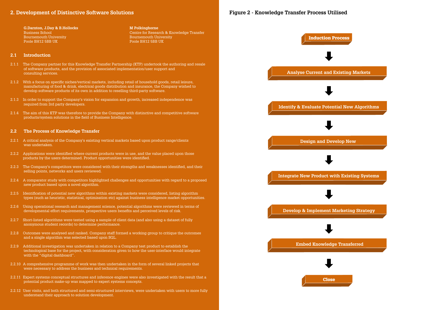## **2. Development of Distinctive Software Solutions**

**G.Darnton, J.Day & B.Hollocks M Polkinghorne** Bournemouth University Bournemouth University Poole BH12 5BB UK Poole BH12 5BB UK

Business School Centre for Research & Knowledge Transfer

### **2.1 Introduction**

- 2.1.1 The Company partner for this Knowledge Transfer Partnership (KTP) undertook the authoring and resale of software products, and the provision of associated implementation/user support and consulting services.
- 2.1.2 With a focus on specific niches/vertical markets, including retail of household goods, retail leisure, manufacturing of food & drink, electrical goods distribution and insurance, the Company wished to develop software products of its own in addition to reselling third-party software.
- 2.1.3 In order to support the Company's vision for expansion and growth, increased independence was required from 3rd party developers.
- 2.1.4 The aim of this KTP was therefore to provide the Company with distinctive and competitive software products/system solutions in the field of Business Intelligence.

#### **2.2 The Process of Knowledge Transfer**

- 2.2.1 A critical analysis of the Company's existing vertical markets based upon product range/clients was undertaken.
- 2.2.2 Applications were identified where current products were in use, and the value placed upon those products by the users determined. Product opportunities were identified.
- 2.2.3 The Company's competitors were considered with their strengths and weaknesses identified, and their selling points, networks and users reviewed.
- 2.2.4 A comparator study with competitors highlighted challenges and opportunities with regard to a proposed new product based upon a novel algorithm.
- 2.2.5 Identification of potential new algorithms within existing markets were considered, listing algorithm types (such as heuristic, statistical, optimisation etc) against business intelligence market opportunities.
- 2.2.6 Using operational research and management science, potential algorithms were reviewed in terms of developmental effort requirements, prospective users benefits and perceived levels of risk.
- 2.2.7 Short-listed algorithms were tested using a sample of client data (and also using a dataset of fully anonymous student records) to determine performance.
- 2.2.8 Outcomes were analysed and ranked. Company staff formed a working group to critique the outcomes and a single algorithm was selected based upon SQL.
- 2.2.9 Additional investigation was undertaken in relation to a Company test product to establish the technological base for the project, with consideration given to how the user-interface would integrate with the "digital dashboard".
- 2.2.10 A comprehensive programme of work was then undertaken in the form of several linked projects that were necessary to address the business and technical requirements.
- 2.2.11 Expert systems conceptual structures and inference engines were also investigated with the result that a potential product make-up was mapped to expert systems concepts.
- 2.2.12 User visits, and both structured and semi-structured interviews, were undertaken with users to more fully understand their approach to solution development.



**Figure 2 - Knowledge Transfer Process Utilised**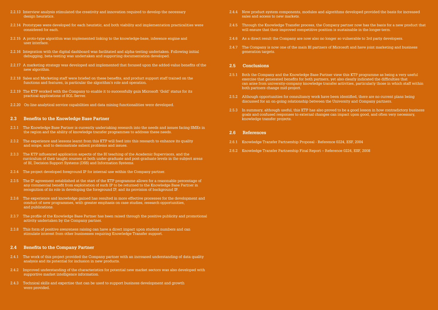- 2.2.13 Interview analysis stimulated the creativity and innovation required to develop the necessary design heuristics.
- 2.2.14 Prototypes were developed for each heuristic, and both viability and implementation practicalities were considered for each.
- 2.2.15 A proto-type algorithm was implemented linking to the knowledge-base, inference engine and user interface.
- 2.2.16 Integration with the digital dashboard was facilitated and alpha-testing undertaken. Following initial debugging, beta-testing was undertaken and supporting documentation developed.
- 2.2.17 A marketing strategy was developed and implemented that focused upon the added-value benefits of the new algorithm.
- 2.2.18 Sales and Marketing staff were briefed on these benefits, and product support staff trained on the functions and features, in particular the algorithm's role and operation.
- 2.2.19 The KTP worked with the Company to enable it to successfully gain Microsoft 'Gold' status for its practical applications of SQL Server.
- 2.2.20 On-line analytical service capabilities and data mining functionalities were developed.

- 2.3.1 The Knowledge Base Partner is currently undertaking research into the needs and issues facing SMEs in the region and the ability of knowledge transfer programmes to address these needs.
- 2.3.2 The experience and lessons learnt from this KTP will feed into this research to enhance its quality and scope, and to demonstrate salient problems and issues.
- 2.3.3 The KTP influenced application aspects of the BI teaching of the Academic Supervisors, and the curriculum of their taught courses at both under-graduate and post-graduate levels in the subject areas of BI, Decision Support Systems (DSS) and Information Systems.
- 2.3.4 The project developed foreground IP for internal use within the Company partner.
- 2.3.5 The IP agreement established at the start of the KTP programme allows for a reasonable percentage of any commercial benefit from exploitation of such IP to be returned to the Knowledge Base Partner in recognition of its role in developing the foreground IP, and its provision of background IP.
- 2.3.6 The experience and knowledge gained has resulted in more effective processes for the development and conduct of new programmes, with greater emphasis on case studies, research opportunities, and publications.
- 2.3.7 The profile of the Knowledge Base Partner has been raised through the positive publicity and promotional activity undertaken by the Company partner.
- 2.3.8 This form of positive awareness raising can have a direct impact upon student numbers and can stimulate interest from other businesses requiring Knowledge Transfer support.

#### **2.4 Benefits to the Company Partner**

- 2.4.1 The work of this project provided the Company partner with an increased understanding of data quality analysis and its potential for inclusion in new products.
- 2.4.2 Improved understanding of the characteristics for potential new market sectors was also developed with supportive market intelligence information.
- 2.4.3 Technical skills and expertise that can be used to support business development and growth were provided.

2.4.5 Through the Knowledge Transfer process, the Company partner now has the basis for a new product that

- sales and access to new markets.
- will ensure that their improved competitive position is sustainable in the longer-term.
- 2.4.6 As a direct result the Company are now also no longer so vulnerable to 3rd party developers.
- 2.4.7 The Company is now one of the main BI partners of Microsoft and have joint marketing and business generation targets.

#### **2.5 Conclusions**

2.5.1 Both the Company and the Knowledge Base Partner view this KTP programme as being a very useful can arise from university-company knowledge transfer activities, particularly those in which staff within

- exercise that generated benefits for both partners, yet also clearly indicated the difficulties that both partners change mid-project.
- 2.5.2 Although opportunities for consultancy work have been identified, there are no current plans being discussed for an on-going relationship between the University and Company partners.
- 2.5.3 In summary, although useful, this KTP has also proved to be a good lesson in how contradictory business goals and confused responses to external changes can impact upon good, and often very necessary, knowledge transfer projects.

#### **2.6 References**

- 2.6.1 Knowledge Transfer Partnership Proposal Reference 0224, ESF, 2004
- 2.6.2 Knowledge Transfer Partnership Final Report Reference 0224, ESF, 2008

#### 2.4.4 New product system components, modules and algorithms developed provided the basis for increased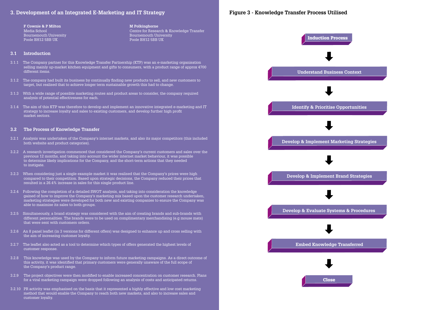# **3. Development of an Integrated E-Marketing and IT Strategy**

**F Cownie & P Milton M Polkinghorne** Poole BH12 5BB UK Poole BH12 5BB UK

Media School Centre for Research & Knowledge Transfer Bournemouth University Bournemouth University

### **3.1 Introduction**

- 3.1.1 The Company partner for this Knowledge Transfer Partnership (KTP) was an e-marketing organisation selling mainly up-market kitchen equipment and gifts to consumers, with a product range of approx 4700 different items.
- 3.1.2 The company had built its business by continually finding new products to sell, and new customers to target, but realised that to achieve longer term sustainable growth this had to change.
- 3.1.3 With a wide range of possible marketing routes and product areas to consider, the company required analysis of potential effectiveness for each.
- 3.1.4 The aim of this KTP was therefore to develop and implement an innovative integrated e-marketing and IT strategy to increase loyalty and sales to existing customers, and develop further high profit market sectors.

#### **3.2 The Process of Knowledge Transfer**

- 3.2.1 Analysis was undertaken of the Company's internet markets, and also its major competitors (this included both website and product categories).
- 3.2.2 A research investigation commenced that considered the Company's current customers and sales over the previous 12 months, and taking into account the wider internet market behaviour, it was possible to determine likely implications for the Company, and the short-term actions that they needed to instigate.
- 3.2.3 When considering just a single example market it was realised that the Company's prices were high compared to their competition. Based upon strategic decisions, the Company reduced their prices that resulted in a 26.4% increase in sales for this single product line.
- 3.2.4 Following the completion of a detailed SWOT analysis, and taking into consideration the knowledge gained of how to improve the Company's marketing mix based upon the customer research undertaken, marketing strategies were developed for both new and existing companies to ensure the Company was able to maximise its sales to both groups.
- 3.2.5 Simultaneously, a brand strategy was considered with the aim of creating brands and sub-brands with different personalities. The brands were to be used on complimentary merchandising (e.g mouse mats) that were sent with customers orders.
- 3.2.6 An 8 panel leaflet (in 3 versions for different offers) was designed to enhance up and cross selling with the aim of increasing customer loyalty.
- 3.2.7 The leaflet also acted as a tool to determine which types of offers generated the highest levels of customer response.
- 3.2.8 This knowledge was used by the Company to inform future marketing campaigns. As a direct outcome of this activity, it was identified that primary customers were generally unaware of the full scope of the Company's product range.
- 3.2.9 The project objectives were then modified to enable increased concentration on customer research. Plans for a viral marketing campaign were dropped following an analysis of costs and anticipated returns.
- 3.2.10 PR activity was emphasised on the basis that it represented a highly effective and low cost marketing method that would enable the Company to reach both new markets, and also to increase sales and customer loyalty.



# **Figure 3 - Knowledge Transfer Process Utilised**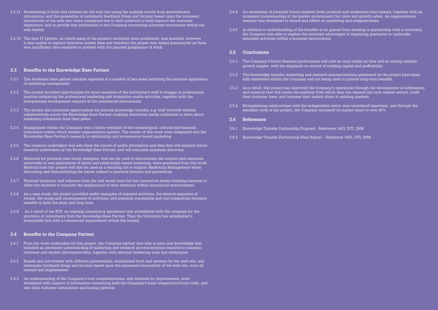- 3.2.11 Streamlining of front end systems for the web site using the analysis results from questionnaire information, and the generation of systematic feedback (blogs and forums) based upon the increased interactivity of the web site, were considered due to their potential to both improve the customer experience, and to provide key information to the Company concerning customer movements within the web facility.
- 3.2.12 The new IT system, on which many of the project's activities were predicated, was installed, however it was unable to capture historical market data and therefore the project was halted prematurely as there was insufficient data available to proceed with the planned programme of work.

- 3.3.1 The Academic team gained valuable expertise in a number of key areas including the practical application of marketing management.
- 3.3.2 The project provided opportunities for three members of the institution's staff to engage in professional practice embracing the professional marketing and interactive media activities, together with the interpersonal development required of the commercial environment.
- 3.3.3 The project also promoted opportunities for internal knowledge transfer, e.g. staff involved worked collaboratively across the Knowledge Base Partner enabling interactive media academics to learn about marketing orientation from their peers.
- 3.3.4 Engagement within the Company was a timely reminder of the technological, cultural and financial constraints within which smaller organisations operate. The results of this work were integrated into the Knowledge Base Partner's research in relationship and e-commerce based marketing.
- 3.3.5 The research undertaken was also been the source of useful information and data that will enhance future research undertaken by the Knowledge Base Partner, and will stimulate academic discovery.
- 3.3.6 Materials for practical case study examples, that can be used to demonstrate the outputs and outcomes achievable in real applications of direct and relationship based marketing, were generated from this work. Material from this project will also be used as a teaching aid to support Marketing Management when discussing and demonstrating the issues related to practical systems and procedures.
- 3.3.7 Practical questions and solutions from the real world were fed into interactive media teaching sessions to allow the students to consider the implications of their decisions within commercial environments.
- 3.3.8 As a case study, the project provided useful examples of required activities, the desired sequence of events, the scope and consequences of activities, and potential commercial and non-commercial business benefits in both the short and long-term.
- 3.3.9 As a result of the KTP, an ongoing consultancy agreement was established with the company for the provision of consultancy from the knowledge Base Partner. Thus the University has established a sustainable link with a commercial organisation within the locality.

### **3.4 Benefits to the Company Partner**

- 3.4.1 From the work undertaken by this project, the Company partner was able to gain new knowledge that included an increased understanding of marketing and research process/systems required to maintain customer and market information/data, together with relevant marketing tools and techniques.
- 3.4.2 Brands and sub-brands with different personalities, streamlined front end systems for the web site, and systematic feedback (blogs and forums) based upon the increased interactivity of the web site, were all created and implemented.
- 3.4.3 An understanding of the Company's own competitiveness, and methods for improvement, were developed with support of information concerning both the Company's main competitors/future risks, and also their customer motivations and buying patterns.
- 3.4.4 An awareness of potential future markets (both products and audiences) was created, together with an increased understanding of the market environment (inc sizes and growth rates). An organisational memory was developed to record and reflect on marketing and competiveness.
- 3.4.5 In addition to understanding of the benefits to be gained from working in partnership with a university, the Company was able to explore the potential advantages of employing graduates to undertake specialist activities within a business environment.

#### **3.5 Conclusions**

- 3.5.1 The Company's future financial performance will now be more stable as they will be setting realistic growth targets, with the emphasis on control of working capital and profitability.
- 3.5.2 The knowledge transfer, marketing and research process/systems generated by the project have been fully embedded within the Company and are being used to provide long-term benefits.
- 3.5.3 As a result, this project has improved the Company's operations through the development of information their customer base, and increase their market share in existing markets.
- 3.5.4 Strengthening relationships with the independent sector was considered important, and through the excellent work of the project, the Company increased its market share to over 40%.

and research that will create the platform from which they can expand into new market sectors, build

- 3.6.1 Knowledge Transfer Partnership Proposal Reference 1453, DTI, 2006
- 3.6.2 Knowledge Transfer Partnership Final Report Reference 1453, DTI, 2008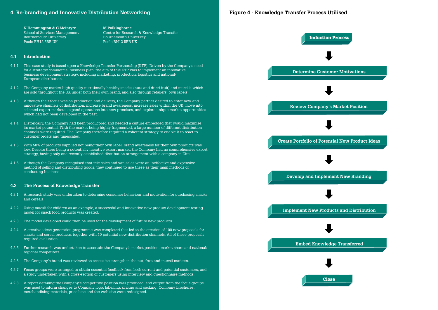# **4. Re-branding and Innovative Distribution Networking**

**N.Hemmington & C.McIntyre M.Hemmington & C.McIntyre** Bournemouth University Bournemouth University Poole BH12 5BB UK Poole BH12 5BB UK

School of Services Management Centre for Research & Knowledge Transfer

### **4.1 Introduction**

- 4.1.1 This case study is based upon a Knowledge Transfer Partnership (KTP). Driven by the Company's need for a strategic commercial business plan, the aim of this KTP was to implement an innovative business development strategy, including marketing, production, logistics and national/ European distribution.
- 4.1.2 The Company market high quality nutritionally healthy snacks (nuts and dried fruit) and mueslis which are sold throughout the UK under both their own brand, and also through retailers' own labels.
- 4.1.3 Although their focus was on production and delivery, the Company partner desired to enter new and innovative channels of distribution, increase brand awareness, increase sales within the UK, move into selected export markets, expand operations into new premises, and explore unique market opportunities which had not been developed in the past.
- 4.1.4 Historically, the Company had been product-led and needed a culture embedded that would maximise its market potential. With the market being highly fragmented, a large number of different distribution channels were required. The Company therefore required a coherent strategy to enable it to react to customer orders and timescales.
- 4.1.5 With 50% of products supplied not being their own label, brand awareness for their own products was low. Despite there being a potentially lucrative export market, the Company had no comprehensive export strategy, having only one recently established distribution arrangement with a company in Eire.
- 4.1.6 Although the Company recognised that tele sales and van sales were an ineffective and expensive method of selling and distributing goods, they continued to use these as their main methods of conducting business.

### **4.2 The Process of Knowledge Transfer**

- 4.2.1 A research study was undertaken to determine consumer behaviour and motivation for purchasing snacks and cereals.
- 4.2.2 Using muesli for children as an example, a successful and innovative new product development testing model for snack food products was created.
- 4.2.3 The model developed could then be used for the development of future new products.
- 4.2.4 A creative ideas generation programme was completed that led to the creation of 100 new proposals for snacks and cereal products, together with 10 potential new distribution channels. All of these proposals required evaluation.
- 4.2.5 Further research was undertaken to ascertain the Company's market position, market share and national/ regional competitors.
- 4.2.6 The Company's brand was reviewed to assess its strength in the nut, fruit and muesli markets.
- 4.2.7 Focus groups were arranged to obtain essential feedback from both current and potential customers, and a study undertaken with a cross-section of customers using interview and questionnaire methods.
- 4.2.8 A report detailing the Company's competitive position was produced, and output from the focus groups was used to inform changes to Company logo, labelling, pricing and packing. Company brochures, merchandising materials, price lists and the web site were redesigned.



# **Figure 4 - Knowledge Transfer Process Utilised**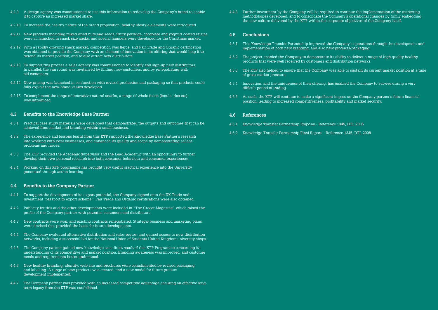- 4.2.9 A design agency was commissioned to use this information to redevelop the Company's brand to enable it to capture an increased market share.
- 4.2.10 To increase the healthy nature of the brand proposition, healthy lifestyle elements were introduced.
- 4.2.11 New products including mixed dried nuts and seeds, fruity porridge, chocolate and yoghurt coated raisins were all launched in snack size packs, and special hampers were developed for the Christmas market.
- 4.2.12 With a rapidly growing snack market, competition was fierce, and Fair Trade and Organic certification was obtained to provide the Company with an element of innovation in its offering that would help it to defend its market position, and to also attract new distributors.
- 4.2.13 To support this process a sales agency was commissioned to identify and sign-up new distributors. In parallel, the van round was revitalised by finding new customers, and by renegotiating with old customers.
- 4.2.14 New pricing was launched in conjunction with revised production and packaging so that products could fully exploit the new brand values developed.
- 4.2.15 To compliment the range of innovative natural snacks, a range of whole foods (lentils, rice etc) was introduced.

- 4.3.1 Practical case study materials were developed that demonstrated the outputs and outcomes that can be achieved from market and branding within a small business.
- 4.3.2 The experience and lessons learnt from this KTP supported the Knowledge Base Partner's research into working with local businesses, and enhanced its quality and scope by demonstrating salient problems and issues.
- 4.3.3 The KTP provided the Academic Supervisor and the Lead Academic with an opportunity to further develop their own personal research into both consumer behaviour and consumer experiences.
- 4.3.4 Working on this KTP programme has brought very useful practical experience into the University generated through action learning.

#### **4.4 Benefits to the Company Partner**

- 4.4.1 To support the development of its export potential, the Company signed onto the UK Trade and Investment 'passport to export scheme". Fair Trade and Organic certifications were also obtained.
- 4.4.2 Publicity for this and the other developments were included in "The Grocer Magazine" which raised the profile of the Company partner with potential customers and distributors.
- 4.4.3 New contracts were won, and existing contracts renegotiated. Strategic business and marketing plans were devised that provided the basis for future developments.
- 4.4.4 The Company evaluated alternative distribution and sales routes, and gained access to new distribution networks, including a successful bid for the National Union of Students United Kingdom university shops.
- 4.4.5 The Company partner gained new knowledge as a direct result of this KTP Programme concerning its understanding of its competitive and market position. Branding awareness was improved, and customer needs and requirements better understood.
- 4.4.6 New healthy branding, identity, web site and brochures were complimented by revised packaging and labelling. A range of new products was created, and a new model for future product development implemented.
- 4.4.7 The Company partner was provided with an increased competitive advantage ensuring an effective longterm legacy from the KTP was established.

4.4.8 Further investment by the Company will be required to continue the implementation of the marketing methodologies developed, and to consolidate the Company's operational changes by firmly embedding

the new culture delivered by the KTP within the corporate objectives of the Company itself.

#### **4.5 Conclusions**

- 4.5.1 This Knowledge Transfer Partnership improved the Company's operations through the development and implementation of both new branding, and also new products/packaging.
- 4.5.2 The project enabled the Company to demonstrate its ability to deliver a range of high quality healthy products that were well received by customers and distribution networks.
- 4.5.3 The KTP also helped to ensure that the Company was able to sustain its current market position at a time of great market pressure.
- 4.5.4 Innovation, and the uniqueness of their offering, has enabled the Company to survive during a very difficult period of trading.
- 4.5.5 As such, the KTP will continue to make a significant impact on the Company partner's future financial position, leading to increased competitiveness, profitability and market security.

- 4.6.1 Knowledge Transfer Partnership Proposal Reference 1345, DTI, 2005
- 4.6.2 Knowledge Transfer Partnership Final Report Reference 1345, DTI, 2008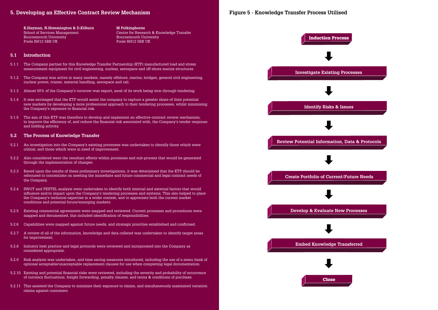# **5. Developing an Effective Contract Review Mechanism**

**K.Hayman, N.Hemmington & D.Kilburn M Polkinghorne** Bournemouth University Bournemouth University Poole BH12 5BB UK Poole BH12 5BB UK

School of Services Management Centre for Research & Knowledge Transfer

### **5.1 Introduction**

- 5.1.1 The Company partner for this Knowledge Transfer Partnership (KTP) manufactured load and stress measurement equipment for civil engineering, nuclear, aerospace and off-shore marine structures.
- 5.1.2 The Company was active in many markets, namely offshore, marine, bridges, general civil engineering, nuclear power, cranes, material handling, aerospace and rail.
- 5.1.3 Almost 50% of the Company's turnover was export, most of its work being won through tendering.
- 5.1.4 It was envisaged that the KTP would assist the company to capture a greater share of their potential new markets by developing a more professional approach to their tendering processes, whilst minimising the Company's exposure to financial risk.
- 5.1.5 The aim of this KTP was therefore to develop and implement an effective contract review mechanism, to improve the efficiency of, and reduce the financial risk associated with, the Company's tender response and bidding activity.

#### **5.2 The Process of Knowledge Transfer**

- 5.2.1 An investigation into the Company's existing processes was undertaken to identify those which were critical, and those which were in need of improvement.
- 5.2.2 Also considered were the resultant effects within processes and sub-process that would be generated through the implementation of changes.
- 5.2.3 Based upon the results of these preliminary investigations, it was determined that the KTP should be refocused to concentrate on meeting the immediate and future commercial and legal contract needs of the Company.
- 5.2.4 SWOT and PESTEL analysis were undertaken to identify both internal and external factors that would influence and/or impact upon the Company's tendering processes and systems. This also helped to place the Company's technical expertise in a wider context, and to appreciate both the current market conditions and potential future/emerging markets.
- 5.2.5 Existing commercial agreements were mapped and reviewed. Current processes and procedures were mapped and documented, this included identification of responsibilities.
- 5.2.6 Capabilities were mapped against future needs, and strategic priorities established and confirmed.
- 5.2.7 A review of all of the information, knowledge and data collated was undertaken to identify target areas for improvement.
- 5.2.8 Industry best practice and legal protocols were reviewed and incorporated into the Company as considered appropriate.
- 5.2.9 Risk analysis was undertaken, and time saving measures introduced, including the use of a menu bank of optional acceptable/unacceptable replacement clauses for use when completing legal documentation.
- 5.2.10 Existing and potential financial risks were reviewed, including the severity and probability of occurrence of currency fluctuations, freight forwarding, penalty clauses, and terms & conditions of purchase.
- 5.2.11 This assisted the Company to minimise their exposure to claims, and simultaneously maximised variation claims against customers.



**Figure 5 - Knowledge Transfer Process Utilised**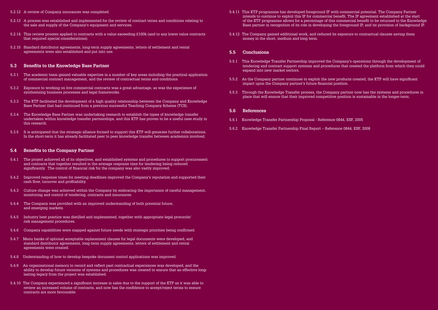- 5.2.12 A review of Company insurances was completed.
- 5.2.13 A process was established and implemented for the review of contract terms and conditions relating to the sale and supply of the Company's equipment and services.
- 5.2.14 This review process applied to contracts with a value exceeding £100k (and to any lower value contracts that required special considerations).
- 5.2.15 Standard distributor agreements, long-term supply agreements, letters of settlement and rental agreements were also established and put into use.

- 5.3.1 The academic team gained valuable expertise in a number of key areas including the practical application of commercial contract management, and the review of contractual terms and conditions.
- 5.3.2 Exposure to working on live commercial contracts was a great advantage, as was the experience of synthesising business processes and legal frameworks.
- 5.3.3 The KTP facilitated the development of a high quality relationship between the Company and Knowledge Base Partner that had continued from a previous successful Teaching Company Scheme (TCS).
- 5.3.4 The Knowledge Base Partner was undertaking research to establish the types of knowledge transfer undertaken within knowledge transfer partnerships, and this KTP has proven to be a useful case study in this research.
- 5.3.5 It is anticipated that the strategic alliance formed to support this KTP will generate further collaborations. In the short-term it has already facilitated peer to peer knowledge transfer between academics involved.

#### **5.4 Benefits to the Company Partner**

- 5.4.1 The project achieved all of its objectives, and established systems and procedures to support procurement and contracts that together resulted in the average response time for tendering being reduced significantly. The control of financial risk for the company was also vastly improved.
- 5.4.2 Improved response times for meeting deadlines improved the Company's reputation and supported their cash flow, turnover and profitability.
- 5.4.3 Culture change was achieved within the Company by embracing the importance of careful management, monitoring and control of tendering, contracts and insurances.
- 5.4.4 The Company was provided with an improved understanding of both potential future, and emerging markets.
- 5.4.5 Industry best practice was distilled and implemented, together with appropriate legal protocols/ risk management procedures.
- 5.4.6 Company capabilities were mapped against future needs with strategic priorities being confirmed.
- 5.4.7 Menu banks of optional acceptable replacement clauses for legal documents were developed, and standard distributor agreements, long-term supply agreements, letters of settlement and rental agreements were created.
- 5.4.8 Understanding of how to develop bespoke document control applications was improved.
- 5.4.9 An organisational memory to record and reflect past contractual experiences was developed, and the ability to develop future versions of systems and procedures was created to ensure that an effective longlasting legacy from the project was established.
- 5.4.10 The Company experienced a significant increase in sales due to the support of the KTP as it was able to review an increased volume of contracts, and now has the confidence to accept/reject terms to ensure contracts are more favourable.

5.4.11 This KTP programme has developed foreground IP with commercial potential. The Company Partner intends to continue to exploit this IP for commercial benefit. The IP agreement established at the start of the KTP programme allows for a percentage of this commercial benefit to be returned to the Knowledge Base partner in recognition of its role in developing the foreground IP, and its provision of background IP.

- 
- 5.4.12 The Company gained additional work, and reduced its exposure to contractual clauses saving them money in the short, medium and long term.

### **5.5 Conclusions**

tendering and contract support systems and procedures that created the platform from which they could

- 5.5.1 This Knowledge Transfer Partnership improved the Company's operations through the development of expand into new market sectors.
- 5.5.2 As the Company partner continues to exploit the new products created, the KTP will have significant impact upon the Company partner's future financial position.
- 5.5.3 Through the Knowledge Transfer process, the Company partner now has the systems and procedures in place that will ensure that their improved competitive position is sustainable in the longer-term.

- 5.6.1 Knowledge Transfer Partnership Proposal Reference 0844, ESF, 2005
- 5.6.2 Knowledge Transfer Partnership Final Report Reference 0844, ESF, 2008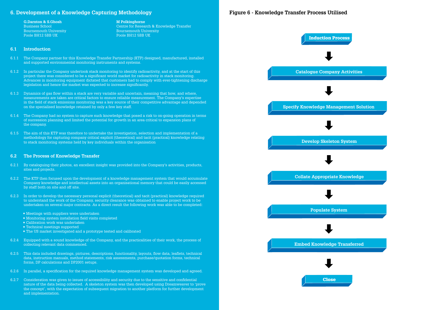# **6. Development of a Knowledge Capturing Methodology**

#### **G.Darnton & S.Ghosh M Polkinghorne**

Poole BH12 5BB UK Poole BH12 5BB UK

Business School Centre for Research & Knowledge Transfer<br>Bournemouth University Bournemouth University **Bournemouth University** 

### **6.1 Introduction**

- 6.1.1 The Company partner for this Knowledge Transfer Partnership (KTP) designed, manufactured, installed and supported environmental monitoring instruments and systems.
- 6.1.2 In particular the Company undertook stack monitoring to identify radioactivity, and at the start of this project there was considered to be a significant world market for radioactivity in stack monitoring. Advances in monitoring equipment dictated that customers had to comply with ever-tightening discharge legislation and hence the market was expected to increase significantly.
- 6.1.3 Dynamics of gas flow within a stack are very variable and uncertain, meaning that how, and where, measurements are taken are critical factors to ensure reliable measurement. The Company's expertise in the field of stack emissions monitoring was a key source of their competitive advantage and depended on the specialised knowledge retained by only a few key staff.
- 6.1.4 The Company had no system to capture such knowledge that posed a risk to on-going operation in terms of succession planning and limited the potential for growth in an area critical to expansion plans of the company.
- 6.1.5 The aim of this KTP was therefore to undertake the investigation, selection and implementation of a methodology for capturing company critical explicit (theoretical) and tacit (practical) knowledge relating to stack monitoring systems held by key individuals within the organisation

#### **6.2 The Process of Knowledge Transfer**

- 6.2.1 By cataloguing their photos, an excellent insight was provided into the Company's activities, products, sites and projects.
- 6.2.2 The KTP then focused upon the development of a knowledge management system that would accumulate Company knowledge and intellectual assets into an organisational memory that could be easily accessed by staff both on site and off site.
- 6.2.3 In order to develop the necessary personal explicit (theoretical) and tacit (practical) knowledge required to understand the work of the Company, security clearance was obtained to enable project work to be undertaken on several major contracts. As a direct result the following work was able to be completed:
	- $\blacksquare$  Meetings with suppliers were undertaken
	- • Monitoring system installation field visits completed
	- • Calibration work was undertaken
	- • Technical meetings supported
	- The US market investigated and a prototype tested and calibrated
- 6.2.4 Equipped with a sound knowledge of the Company, and the practicalities of their work, the process of collecting relevant data commenced.
- 6.2.5 This data included drawings, pictures, descriptions, functionality, layouts, flow data, leaflets, technical data, instruction manuals, method statements, risk assessments, purchase/quotation forms, technical forms, DP calculations and DP2001 setups.
- 6.2.6 In parallel, a specification for the required knowledge management system was developed and agreed.
- 6.2.7 Consideration was given to issues of accessibility and security due to the sensitive and confidential nature of the data being collected. A skeleton system was then developed using Dreamweaver to 'prove the concept', with the expectation of subsequent migration to another platform for further development and implementation.



**Figure 6 - Knowledge Transfer Process Utilised**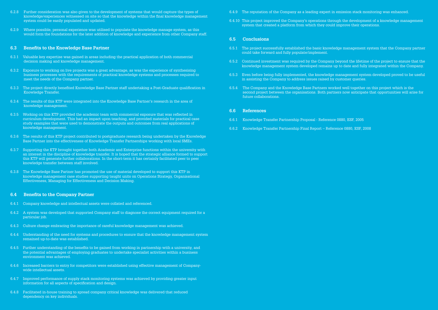- 6.2.8 Further consideration was also given to the development of systems that would capture the types of knowledge/experiences witnessed on site so that the knowledge within the final knowledge management system could be easily populated and updated.
- 6.2.9 Where possible, personal experience was utilised to populate the knowledge manage system, as this would form the foundations for the later addition of knowledge and experience from other Company staff.

- 6.3.1 Valuable key expertise was gained in areas including the practical application of both commercial decision making and knowledge management.
- 6.3.2 Exposure to working on live projects was a great advantage, as was the experience of synthesising business processes with the requirements of practical knowledge systems and processes required to meet the needs of the Company partner.
- 6.3.3 The project directly benefited Knowledge Base Partner staff undertaking a Post-Graduate qualification in Knowledge Transfer.
- 6.3.4 The results of this KTP were integrated into the Knowledge Base Partner's research in the area of knowledge management.
- 6.3.5 Working on this KTP provided the academic team with commercial exposure that was reflected in curriculum development. This had an impact upon teaching, and provided materials for practical case study examples that were used to demonstrate the outputs and outcomes from real applications of knowledge management.
- 6.3.6 The results of this KTP project contributed to postgraduate research being undertaken by the Knowledge Base Partner into the effectiveness of Knowledge Transfer Partnerships working with local SMEs.
- 6.3.7 Supporting the KTP brought together both Academic and Enterprise functions within the university with an interest in the discipline of knowledge transfer. It is hoped that the strategic alliance formed to support this KTP will generate further collaborations. In the short-term it has certainly facilitated peer to peer knowledge transfer between staff involved.
- 6.3.8 The Knowledge Base Partner has promoted the use of material developed to support this KTP in knowledge management case studies supporting taught units on Operations Strategy, Organisational Effectiveness, Managing for Effectiveness and Decision Making.

#### **6.4 Benefits to the Company Partner**

- 6.4.1 Company knowledge and intellectual assets were collated and referenced.
- 6.4.2 A system was developed that supported Company staff to diagnose the correct equipment required for a particular job.
- 6.4.3 Culture change embracing the importance of careful knowledge management was achieved.
- 6.4.4 Understanding of the need for systems and procedures to ensure that the knowledge management system remained up-to-date was established.
- 6.4.5 Further understanding of the benefits to be gained from working in partnership with a university, and the potential advantages of employing graduates to undertake specialist activities within a business environment was achieved.
- 6.4.6 Increased barriers to entry for competitors were established using effective management of Companywide intellectual assets.
- 6.4.7 Improved performance of supply stack monitoring systems was achieved by providing greater input information for all aspects of specification and design.
- 6.4.8 Facilitated in-house training to spread company critical knowledge was delivered that reduced dependency on key individuals.
- 6.4.9 The reputation of the Company as a leading expert in emission stack monitoring was enhanced.
- 6.4.10 This project improved the Company's operations through the development of a knowledge management system that created a platform from which they could improve their operations.

#### **6.5 Conclusions**

knowledge management system developed remains up to date and fully integrated within the Company.

- 6.5.1 The project successfully established the basic knowledge management system that the Company partner could take forward and fully populate/implement.
- 6.5.2 Continued investment was required by the Company beyond the lifetime of the project to ensure that the
- in assisting the Company to address issues raised by customer queries.
- 6.5.4 The Company and the Knowledge Base Partners worked well together on this project which is the future collaborations.

6.5.3 Even before being fully implemented, the knowledge management system developed proved to be useful

second project between the organisations. Both partners now anticipate that opportunities will arise for

- 6.6.1 Knowledge Transfer Partnership Proposal Reference 0880, ESF, 2005
- 6.6.2 Knowledge Transfer Partnership Final Report Reference 0880, ESF, 2008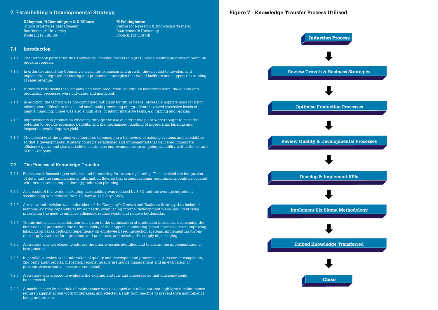# **7. Establishing a Developmental Strategy**

**K.Hayman, N.Hemmington & D.Kilburn M Polkinghorne** Bournemouth University Bournemouth University Poole BH12 5BB UK Poole BH12 5BB UK

School of Services Management Centre for Research & Knowledge Transfer

### **7.1 Introduction**

- 7.1.1 The Company partner for this Knowledge Transfer Partnership (KTP) was a leading producer of premium breakfast cereals.
- 7.1.2 In order to support the Company's vision for expansion and growth, they needed to develop, and implement, integrated marketing and production strategies that would facilitate and support the trebling of sales revenue.
- 7.1.3 Although historically the Company had been production led with no marketing team, the quality and production processes were out-dated and inefficient.
- 7.1.4 In addition, the factory was not configured optimally for future needs. Moveable hoppers used for batch mixing were difficult to move, and small scale processing of ingredients involved excessive levels of manual handling. There was also a high level of labour intensive tasks, e.g. tipping and packing.
- 7.1.5 Improvements in production efficiency through the use of alternative plant were thought to have the potential to provide economic benefits, and the mechanised handling of ingredients, labeling and inspection would improve yield.
- 7.1.6 The objective of the project was therefore to engage in a full review of existing systems and capabilities so that a developmental strategy could be established and implemented that delivered immediate efficiency gains, and also embedded continuous improvement as an on-going capability within the culture of the Company.

### **7.2 The Process of Knowledge Transfer**

- 7.2.1 Project work focused upon volumes and forecasting for resource planning. This involved the integration of data, and the simplification of information flow, so that orders/customer requirements could be collated with raw materials requisitioning/production planning.
- 7.2.2 As a result of this work, packaging stockholding was reduced by 3.5% and the average ingredient stockholding was reduced from 18 days to 13.8 days (25%).
- 7.2.3 A review and revision was undertaken of the Company's Growth and Business Strategy that included mapping existing capability to future needs, establishing internal development plans, and identifying/ prioritising the need to enhance efficiency, reduce waste and remove bottlenecks.
- 7.2.4 To this end special consideration was given to the optimisation of production processes, overcoming the limitations in production due to the mobility of the hoppers, eliminating labour intensive tasks, improving labelling on packs, reducing dependency on employee based inspection systems, implementing just-intime supply systems for ingredients and processes, and revising the supply of packaging.
- 7.2.5 A strategy was developed to address the priority issues identified and to ensure the implementation of best practice.
- 7.2.6 In parallel, a review was undertaken of quality and developmental processes, e.g. customer complaints, 2nd party audit reports, inspection reports, quality assurance management and an evaluation of preventative/corrective measures completed.
- 7.2.7 A strategy was created to evaluate the existing systems and processes so that efficiency could be increased.
- 7.2.8 A machine specific schedule of maintenance was developed and rolled out that highlighted maintenance required against actual work undertaken, and effected a shift from reactive to preventative maintenance being undertaken.



**Figure 7 - Knowledge Transfer Process Utilised**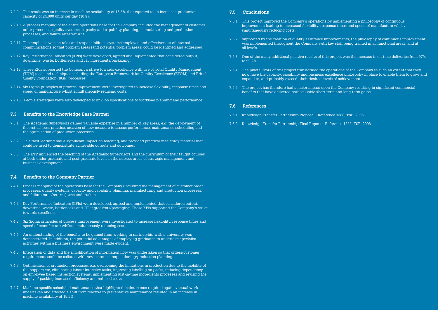- 7.2.9 The result was an increase in machine availability of 15.5% that equated to an increased production capacity of 24,000 units per day (10%).
- 7.2.10 A process mapping of the entire operations base for the Company included the management of customer order processes, quality systems, capacity and capability planning, manufacturing and production processes, and failure rates/returns.
- 7.2.11 The emphasis was on roles and responsibilities, systems employed and effectiveness of internal communications so that problem areas (and potential problem areas) could be identified and addressed.
- 7.2.12 Key Performance Indicators (KPIs) were developed, agreed and implemented that considered output, downtime, waste, bottlenecks and JIT ingredients/packaging.
- 7.2.13 These KPIs supported the Company's strive towards excellence with use of Total Quality Management (TQM) tools and techniques including the European Framework for Quality Excellence (EFQM) and British Quality Foundation (BQF) processes.
- 7.2.14 Six Sigma principles of process improvement were investigated to increase flexibility, response times and speed of manufacture whilst simultaneously reducing costs.
- 7.2.15 People strategies were also developed to link job specifications to workload planning and performance.

- 7.3.1 The Academic Supervisors gained valuable expertise in a number of key areas, e.g. the deployment of theoretical best practise, creation of new measure to assess performance, maintenance scheduling and the optimisation of production processes.
- 7.3.2 This tacit learning had a significant impact on teaching, and provided practical case study material that could be used to demonstrate achievable outputs and outcomes.
- 7.3.3 The KTP influenced the teaching of the Academic Supervisors and the curriculum of their taught courses at both under-graduate and post-graduate levels in the subject areas of strategic management and business development.

#### **7.4 Benefits to the Company Partner**

- 7.4.1 Process mapping of the operations base for the Company (including the management of customer order processes, quality systems, capacity and capability planning, manufacturing and production processes, and failure rates/returns) was undertaken.
- 7.4.2 Key Performance Indicators (KPIs) were developed, agreed and implemented that considered output, downtime, waste, bottlenecks and JIT ingredients/packaging. These KPIs supported the Company's strive towards excellence.
- 7.4.3 Six Sigma principles of process improvement were investigated to increase flexibility, response times and speed of manufacture whilst simultaneously reducing costs.
- 7.4.4 An understanding of the benefits to be gained from working in partnership with a university was demonstrated. In addition, the potential advantages of employing graduates to undertake specialist activities within a business environment were made evident.
- 7.4.5 Integration of data and the simplification of information flow was undertaken so that orders/customer requirements could be collated with raw materials requisitioning/production planning.
- 7.4.6 Optimisation of production processes, e.g. overcoming the limitations in production due to the mobility of the hoppers etc, eliminating labour intensive tasks, improving labelling on packs, reducing dependency on employee based inspection systems, implementing just-in-time ingredients processes and revising the supply of packing increased efficiency and reduced costs.
- 7.4.7 Machine specific scheduled maintenance that highlighted maintenance required against actual work undertaken and affected a shift from reactive to preventative maintenance resulted in an increase in machine availability of 15.5%.

#### **7.5 Conclusions**

- 7.5.1 This project improved the Company's operations by implementing a philosophy of continuous improvement leading to increased flexibility, response times and speed of manufacture whilst simultaneously reducing costs.
- 7.5.2 Supported by the creation of quality assurance improvements, the philosophy of continuous improvement was implemented throughout the Company with key staff being trained in all functional areas, and at all levels.
- 7.5.3 One of the many additional positive results of this project was the increase in on-time deliveries from 97% to 99.2%.
- 7.5.4 The pivotal work of this project transformed the operations of the Company to such an extent that they expand to, and probably exceed, their desired levels of achievement.
- 7.5.5 The project has therefore had a major impact upon the Company resulting in significant commercial benefits that have delivered both valuable short-term and long-term gains.

now have the capacity, capability and business excellence philosophy in place to enable them to grow and

- 7.6.1 Knowledge Transfer Partnership Proposal Reference 1388, TSB, 2006
- 7.6.2 Knowledge Transfer Partnership Final Report Reference 1388, TSB, 2008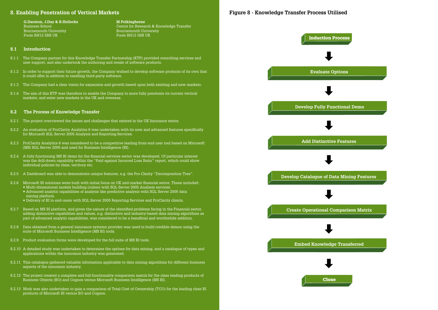# **8. Enabling Penetration of Vertical Markets**

G.Darnton, J.Day & B.Hollocks **M** Polkinghorne

Business School Centre for Research & Knowledge Transfer Bournemouth University Bournemouth University Poole BH12 5BB UK Poole BH12 5BB UK

### **8.1 Introduction**

- 8.1.1 The Company partner for this Knowledge Transfer Partnership (KTP) provided consulting services and user support, and also undertook the authoring and resale of software products.
- 8.1.2 In order to support their future growth, the Company wished to develop software products of its own that it could offer in addition to reselling third-party software.
- 8.1.3 The Company had a clear vision for expansion and growth based upon both existing and new markets.
- 8.1.4 The aim of this KTP was therefore to enable the Company to more fully penetrate its current vertical markets, and enter new markets in the UK and overseas.

#### **8.2 The Process of Knowledge Transfer**

- 8.2.1 The project overviewed the issues and challenges that existed in the UK Insurance sector.
- 8.2.2 An evaluation of ProClarity Analytics 6 was undertaken with its new and advanced features specifically for Microsoft SQL Server 2005 Analysis and Reporting Services.
- 8.2.3 ProClarity Analytics 6 was considered to be a competitive leading front-end user tool based on Microsoft (MS) SQL Server 2005 and used for Business Intelligence (BI).
- 8.2.4 A fully functioning MS BI demo for the financial services sector was developed. Of particular interest was the drill-down capability within the "Paid against Incurred Loss Ratio" report, which could show individual policies by class, territory etc.
- 8.2.5 A Dashboard was able to demonstrate unique features, e.g. the Pro-Clarity "Decomposition Tree".
- 8.2.6 Microsoft BI solutions were built with initial focus on UK mid-market financial sector. These included:
	- • Multi-dimensional models building (cubes) with SQL Server 2005 Analysis services.
	- Advanced analytic capabilities of analysis like predictive analysis with SQL Server 2005 data mining platform.
	- Delivery of BI to end-users with SQL Server 2005 Reporting Services and ProClarity clients.
- 8.2.7 Based on MS BI platform, and given the nature of the identified problems facing in the Financial sector, adding distinctive capabilities and values, e.g. distinctive and industry-based data mining algorithms as part of advanced analytic capabilities, was considered to be a beneficial and worthwhile addition.
- 8.2.8 Data obtained from a general insurance systems provider was used to build credible demos using the suite of Microsoft Business Intelligence (MS BI) tools.
- 8.2.9 Product evaluation forms were developed for the full suite of MS BI tools.
- 8.2.10 A detailed study was undertaken to determine the options for data mining, and a catalogue of types and applications within the insurance industry was generated.
- 8.2.11 This catalogue gathered valuable information applicable to data mining algorithms for different business aspects of the insurance industry.
- 8.2.12 The project created a complete and full functionality comparison matrix for the class leading products of Business Objects (BO) and Cognos versus Microsoft Business Intelligence (MS BI).
- 8.2.13 Work was also undertaken to gain a comparison of Total Cost of Ownership (TCO) for the leading class BI products of Microsoft BI versus BO and Cognos.



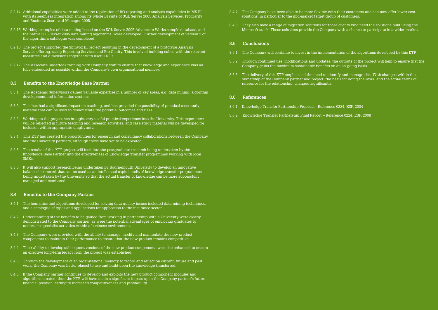- 8.2.14 Additional capabilities were added to the replication of BO reporting and analysis capabilities in MS BI, with its seamless integration among its whole BI suite of SQL Server 2005 Analysis Services, ProClarity and Business Scorecard Manager 2005.
- 8.2.15 Working examples of data mining based on the SQL Server 2005 Adventure Works sample database, and the native SQL Server 2005 data mining algorithms, were developed. Further development of version 2 of the algorithm's catalogue was completed.
- 8.2.16 The project supported the Spinvox BI project resulting in the development of a prototype Analysis Service offering, using Reporting Services and Pro Clarity. This involved building cubes with the relevant measures and dimensions together with useful KPIs.
- 8.2.17 The Associate undertook training with Company staff to ensure that knowledge and experience was as fully embedded as possible within the Company's own organisational memory.

- 8.3.1 The Academic Supervisors gained valuable expertise in a number of key areas, e.g. data mining, algorithm development and information systems.
- 8.3.2 This has had a significant impact on teaching, and has provided the possibility of practical case study material that can be used to demonstrate the potential outcomes and risks.
- 8.3.3 Working on the project has brought very useful practical experience into the University. This experience will be reflected in future teaching and research activities, and case study material will be developed for inclusion within appropriate taught units.
- 8.3.4 This KTP has created the opportunities for research and consultancy collaborations between the Company and the University partners, although these have yet to be exploited.
- 8.3.5 The results of this KTP project will feed into the postgraduate research being undertaken by the Knowledge Base Partner into the effectiveness of Knowledge Transfer programmes working with local SMEs.
- 8.3.6 It will also support research being undertaken by Bournemouth University to develop an innovative balanced scorecard that can be used as an intellectual capital audit of knowledge transfer programmes being undertaken by the University so that the actual transfer of knowledge can be more successfully managed and monitored.

#### **8.4 Benefits to the Company Partner**

- 8.4.1 The heuristics and algorithms developed for solving data quality issues included data mining techniques, and a catalogue of types and applications for application to the insurance sector.
- 8.4.2 Understanding of the benefits to be gained from working in partnership with a University were clearly demonstrated to the Company partner, as were the potential advantages of employing graduates to undertake specialist activities within a business environment.
- 8.4.3 The Company were provided with the ability to manage, modify and manipulate the new product components to maintain their performance to ensure that the new product remains competitive.
- 8.4.4 Their ability to develop subsequent versions of the new product components was also enhanced to ensure an effective long-term legacy from the project was established.
- 8.4.5 Through the development of an organisational memory to record and reflect on current, future and past work, the Company was better placed to use and build upon the knowledge transferred.
- 8.4.6 If the Company partner continues to develop and exploits the new product component modules and algorithms created, then the KTP will have made a significant impact upon the Company partner's future financial position leading to increased competitiveness and profitability.
- 8.4.7 The Company have been able to be more flexible with their customers and can now offer lower cost solutions, in particular to the mid-market target group of customers.
- 8.4.8 They also have a range of migration solutions for those clients who need the solutions built using the Microsoft stack. These solutions provide the Company with a chance to participate in a wider market.

#### **8.5 Conclusions**

- 8.5.1 The Company will continue to invest in the implementation of the algorithms developed by this KTP.
- 8.5.2 Through continued use, modifications and updates, the outputs of the project will help to ensure that the Company gains the maximum sustainable benefits on an on-going basis.
- 8.5.3 The delivery of this KTP emphasised the need to identify and manage risk. With changes within the ownership of the Company partner mid project, the basis for doing the work, and the actual terms of reference for the relationship, changed significantly.

- 8.6.1 Knowledge Transfer Partnership Proposal Reference 0224, ESF, 2004
- 8.6.2 Knowledge Transfer Partnership Final Report Reference 0224, ESF, 2008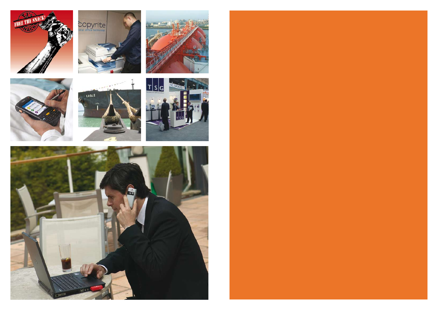